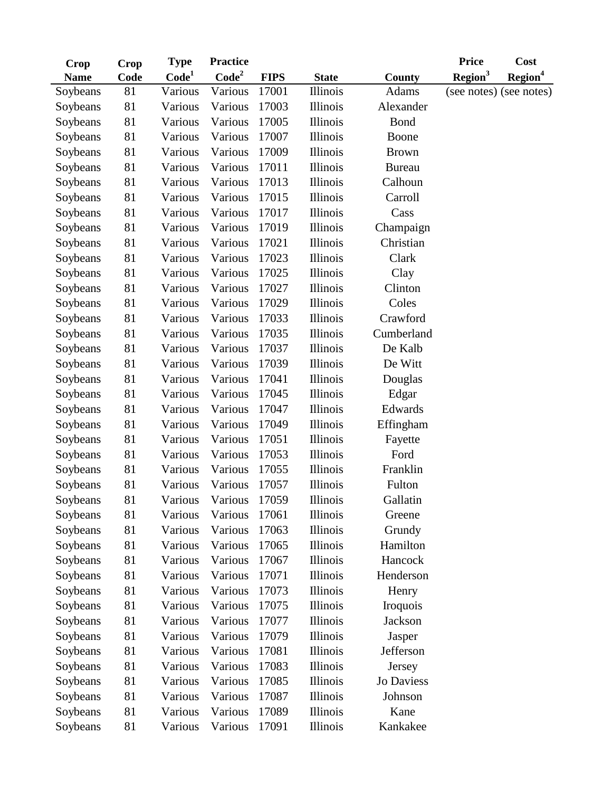| Crop        | Crop | <b>Type</b>       | <b>Practice</b>   |             |                 |               | <b>Price</b>        | <b>Cost</b>             |
|-------------|------|-------------------|-------------------|-------------|-----------------|---------------|---------------------|-------------------------|
| <b>Name</b> | Code | Code <sup>1</sup> | Code <sup>2</sup> | <b>FIPS</b> | <b>State</b>    | County        | Region <sup>3</sup> | Region <sup>4</sup>     |
| Soybeans    | 81   | Various           | Various           | 17001       | <b>Illinois</b> | <b>Adams</b>  |                     | (see notes) (see notes) |
| Soybeans    | 81   | Various           | Various           | 17003       | Illinois        | Alexander     |                     |                         |
| Soybeans    | 81   | Various           | Various           | 17005       | Illinois        | <b>Bond</b>   |                     |                         |
| Soybeans    | 81   | Various           | Various           | 17007       | <b>Illinois</b> | Boone         |                     |                         |
| Soybeans    | 81   | Various           | Various           | 17009       | Illinois        | <b>Brown</b>  |                     |                         |
| Soybeans    | 81   | Various           | Various           | 17011       | Illinois        | <b>Bureau</b> |                     |                         |
| Soybeans    | 81   | Various           | Various           | 17013       | <b>Illinois</b> | Calhoun       |                     |                         |
| Soybeans    | 81   | Various           | Various           | 17015       | Illinois        | Carroll       |                     |                         |
| Soybeans    | 81   | Various           | Various           | 17017       | Illinois        | Cass          |                     |                         |
| Soybeans    | 81   | Various           | Various           | 17019       | Illinois        | Champaign     |                     |                         |
| Soybeans    | 81   | Various           | Various           | 17021       | Illinois        | Christian     |                     |                         |
| Soybeans    | 81   | Various           | Various           | 17023       | Illinois        | Clark         |                     |                         |
| Soybeans    | 81   | Various           | Various           | 17025       | Illinois        | Clay          |                     |                         |
| Soybeans    | 81   | Various           | Various           | 17027       | Illinois        | Clinton       |                     |                         |
| Soybeans    | 81   | Various           | Various           | 17029       | <b>Illinois</b> | Coles         |                     |                         |
| Soybeans    | 81   | Various           | Various           | 17033       | <b>Illinois</b> | Crawford      |                     |                         |
| Soybeans    | 81   | Various           | Various           | 17035       | Illinois        | Cumberland    |                     |                         |
| Soybeans    | 81   | Various           | Various           | 17037       | <b>Illinois</b> | De Kalb       |                     |                         |
| Soybeans    | 81   | Various           | Various           | 17039       | <b>Illinois</b> | De Witt       |                     |                         |
| Soybeans    | 81   | Various           | Various           | 17041       | Illinois        | Douglas       |                     |                         |
| Soybeans    | 81   | Various           | Various           | 17045       | Illinois        | Edgar         |                     |                         |
| Soybeans    | 81   | Various           | Various           | 17047       | Illinois        | Edwards       |                     |                         |
| Soybeans    | 81   | Various           | Various           | 17049       | Illinois        | Effingham     |                     |                         |
| Soybeans    | 81   | Various           | Various           | 17051       | Illinois        | Fayette       |                     |                         |
| Soybeans    | 81   | Various           | Various           | 17053       | Illinois        | Ford          |                     |                         |
| Soybeans    | 81   | Various           | Various           | 17055       | Illinois        | Franklin      |                     |                         |
| Soybeans    | 81   | Various           | Various           | 17057       | <b>Illinois</b> | Fulton        |                     |                         |
| Soybeans    | 81   | Various           | Various           | 17059       | <b>Illinois</b> | Gallatin      |                     |                         |
| Soybeans    | 81   | Various           | Various           | 17061       | <b>Illinois</b> | Greene        |                     |                         |
| Soybeans    | 81   | Various           | Various           | 17063       | <b>Illinois</b> | Grundy        |                     |                         |
| Soybeans    | 81   | Various           | Various           | 17065       | <b>Illinois</b> | Hamilton      |                     |                         |
| Soybeans    | 81   | Various           | Various           | 17067       | <b>Illinois</b> | Hancock       |                     |                         |
| Soybeans    | 81   | Various           | Various           | 17071       | <b>Illinois</b> | Henderson     |                     |                         |
| Soybeans    | 81   | Various           | Various           | 17073       | Illinois        | Henry         |                     |                         |
| Soybeans    | 81   | Various           | Various           | 17075       | Illinois        | Iroquois      |                     |                         |
| Soybeans    | 81   | Various           | Various           | 17077       | <b>Illinois</b> | Jackson       |                     |                         |
| Soybeans    | 81   | Various           | Various           | 17079       | Illinois        | Jasper        |                     |                         |
| Soybeans    | 81   | Various           | Various           | 17081       | Illinois        | Jefferson     |                     |                         |
| Soybeans    | 81   | Various           | Various           | 17083       | Illinois        | Jersey        |                     |                         |
| Soybeans    | 81   | Various           | Various           | 17085       | <b>Illinois</b> | Jo Daviess    |                     |                         |
| Soybeans    | 81   | Various           | Various           | 17087       | Illinois        | Johnson       |                     |                         |
| Soybeans    | 81   | Various           | Various           | 17089       | Illinois        | Kane          |                     |                         |
| Soybeans    | 81   | Various           | Various           | 17091       | Illinois        | Kankakee      |                     |                         |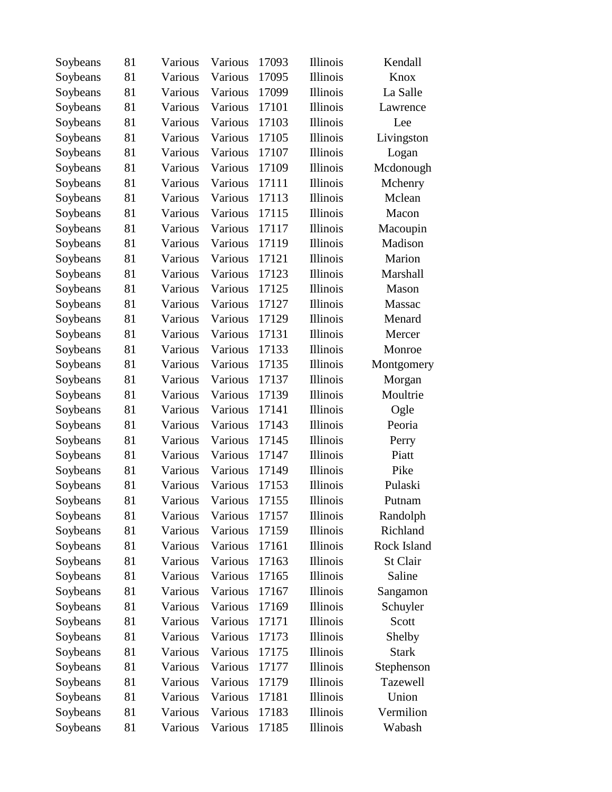| Soybeans | 81 | Various | Various | 17093 | <b>Illinois</b> | Kendall      |
|----------|----|---------|---------|-------|-----------------|--------------|
| Soybeans | 81 | Various | Various | 17095 | Illinois        | Knox         |
| Soybeans | 81 | Various | Various | 17099 | Illinois        | La Salle     |
| Soybeans | 81 | Various | Various | 17101 | Illinois        | Lawrence     |
| Soybeans | 81 | Various | Various | 17103 | <b>Illinois</b> | Lee          |
| Soybeans | 81 | Various | Various | 17105 | Illinois        | Livingston   |
| Soybeans | 81 | Various | Various | 17107 | Illinois        | Logan        |
| Soybeans | 81 | Various | Various | 17109 | <b>Illinois</b> | Mcdonough    |
| Soybeans | 81 | Various | Various | 17111 | Illinois        | Mchenry      |
| Soybeans | 81 | Various | Various | 17113 | <b>Illinois</b> | Mclean       |
| Soybeans | 81 | Various | Various | 17115 | Illinois        | Macon        |
| Soybeans | 81 | Various | Various | 17117 | <b>Illinois</b> | Macoupin     |
| Soybeans | 81 | Various | Various | 17119 | <b>Illinois</b> | Madison      |
| Soybeans | 81 | Various | Various | 17121 | <b>Illinois</b> | Marion       |
| Soybeans | 81 | Various | Various | 17123 | Illinois        | Marshall     |
| Soybeans | 81 | Various | Various | 17125 | <b>Illinois</b> | Mason        |
| Soybeans | 81 | Various | Various | 17127 | <b>Illinois</b> | Massac       |
| Soybeans | 81 | Various | Various | 17129 | <b>Illinois</b> | Menard       |
| Soybeans | 81 | Various | Various | 17131 | <b>Illinois</b> | Mercer       |
| Soybeans | 81 | Various | Various | 17133 | <b>Illinois</b> | Monroe       |
| Soybeans | 81 | Various | Various | 17135 | <b>Illinois</b> | Montgomery   |
| Soybeans | 81 | Various | Various | 17137 | Illinois        | Morgan       |
| Soybeans | 81 | Various | Various | 17139 | <b>Illinois</b> | Moultrie     |
| Soybeans | 81 | Various | Various | 17141 | <b>Illinois</b> | Ogle         |
| Soybeans | 81 | Various | Various | 17143 | <b>Illinois</b> | Peoria       |
| Soybeans | 81 | Various | Various | 17145 | <b>Illinois</b> | Perry        |
| Soybeans | 81 | Various | Various | 17147 | <b>Illinois</b> | Piatt        |
| Soybeans | 81 | Various | Various | 17149 | <b>Illinois</b> | Pike         |
| Soybeans | 81 | Various | Various | 17153 | <b>Illinois</b> | Pulaski      |
| Soybeans | 81 | Various | Various | 17155 | Illinois        | Putnam       |
| Soybeans | 81 | Various | Various | 17157 | <b>Illinois</b> | Randolph     |
| Soybeans | 81 | Various | Various | 17159 | <b>Illinois</b> | Richland     |
| Soybeans | 81 | Various | Various | 17161 | Illinois        | Rock Island  |
| Soybeans | 81 | Various | Various | 17163 | Illinois        | St Clair     |
| Soybeans | 81 | Various | Various | 17165 | <b>Illinois</b> | Saline       |
| Soybeans | 81 | Various | Various | 17167 | <b>Illinois</b> | Sangamon     |
| Soybeans | 81 | Various | Various | 17169 | <b>Illinois</b> | Schuyler     |
| Soybeans | 81 | Various | Various | 17171 | <b>Illinois</b> | Scott        |
| Soybeans | 81 | Various | Various | 17173 | <b>Illinois</b> | Shelby       |
| Soybeans | 81 | Various | Various | 17175 | <b>Illinois</b> | <b>Stark</b> |
| Soybeans | 81 | Various | Various | 17177 | Illinois        | Stephenson   |
| Soybeans | 81 | Various | Various | 17179 | <b>Illinois</b> | Tazewell     |
| Soybeans | 81 | Various | Various | 17181 | <b>Illinois</b> | Union        |
| Soybeans | 81 | Various | Various | 17183 | <b>Illinois</b> | Vermilion    |
| Soybeans | 81 | Various | Various | 17185 | Illinois        | Wabash       |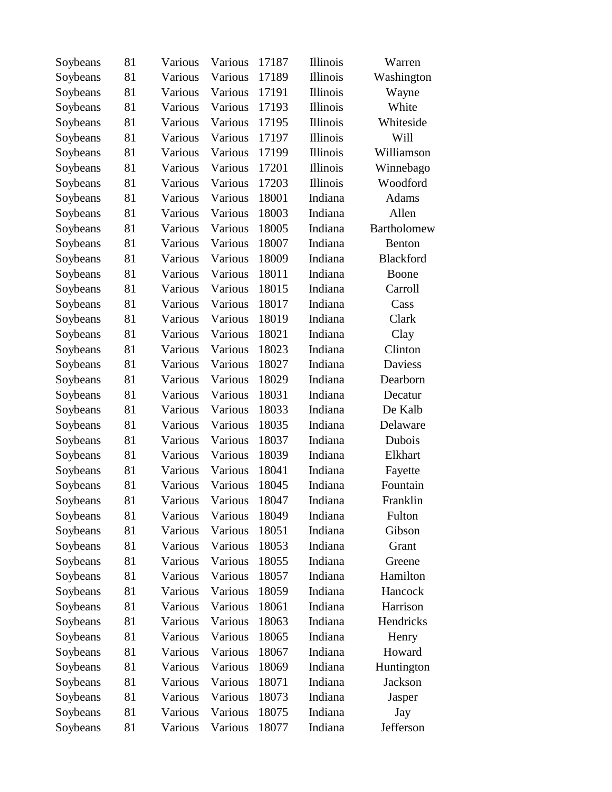| Soybeans | 81 | Various | Various | 17187 | Illinois        | Warren         |
|----------|----|---------|---------|-------|-----------------|----------------|
| Soybeans | 81 | Various | Various | 17189 | <b>Illinois</b> | Washington     |
| Soybeans | 81 | Various | Various | 17191 | <b>Illinois</b> | Wayne          |
| Soybeans | 81 | Various | Various | 17193 | <b>Illinois</b> | White          |
| Soybeans | 81 | Various | Various | 17195 | <b>Illinois</b> | Whiteside      |
| Soybeans | 81 | Various | Various | 17197 | <b>Illinois</b> | Will           |
| Soybeans | 81 | Various | Various | 17199 | <b>Illinois</b> | Williamson     |
| Soybeans | 81 | Various | Various | 17201 | <b>Illinois</b> | Winnebago      |
| Soybeans | 81 | Various | Various | 17203 | <b>Illinois</b> | Woodford       |
| Soybeans | 81 | Various | Various | 18001 | Indiana         | Adams          |
| Soybeans | 81 | Various | Various | 18003 | Indiana         | Allen          |
| Soybeans | 81 | Various | Various | 18005 | Indiana         | Bartholomew    |
| Soybeans | 81 | Various | Various | 18007 | Indiana         | Benton         |
| Soybeans | 81 | Various | Various | 18009 | Indiana         | Blackford      |
| Soybeans | 81 | Various | Various | 18011 | Indiana         | Boone          |
| Soybeans | 81 | Various | Various | 18015 | Indiana         | Carroll        |
| Soybeans | 81 | Various | Various | 18017 | Indiana         | Cass           |
| Soybeans | 81 | Various | Various | 18019 | Indiana         | Clark          |
| Soybeans | 81 | Various | Various | 18021 | Indiana         | Clay           |
| Soybeans | 81 | Various | Various | 18023 | Indiana         | Clinton        |
| Soybeans | 81 | Various | Various | 18027 | Indiana         | <b>Daviess</b> |
| Soybeans | 81 | Various | Various | 18029 | Indiana         | Dearborn       |
| Soybeans | 81 | Various | Various | 18031 | Indiana         | Decatur        |
| Soybeans | 81 | Various | Various | 18033 | Indiana         | De Kalb        |
| Soybeans | 81 | Various | Various | 18035 | Indiana         | Delaware       |
| Soybeans | 81 | Various | Various | 18037 | Indiana         | Dubois         |
| Soybeans | 81 | Various | Various | 18039 | Indiana         | Elkhart        |
| Soybeans | 81 | Various | Various | 18041 | Indiana         | Fayette        |
| Soybeans | 81 | Various | Various | 18045 | Indiana         | Fountain       |
| Soybeans | 81 | Various | Various | 18047 | Indiana         | Franklin       |
| Soybeans | 81 | Various | Various | 18049 | Indiana         | Fulton         |
| Soybeans | 81 | Various | Various | 18051 | Indiana         | Gibson         |
| Soybeans | 81 | Various | Various | 18053 | Indiana         | Grant          |
| Soybeans | 81 | Various | Various | 18055 | Indiana         | Greene         |
| Soybeans | 81 | Various | Various | 18057 | Indiana         | Hamilton       |
| Soybeans | 81 | Various | Various | 18059 | Indiana         | Hancock        |
| Soybeans | 81 | Various | Various | 18061 | Indiana         | Harrison       |
| Soybeans | 81 | Various | Various | 18063 | Indiana         | Hendricks      |
| Soybeans | 81 | Various | Various | 18065 | Indiana         | Henry          |
| Soybeans | 81 | Various | Various | 18067 | Indiana         | Howard         |
| Soybeans | 81 | Various | Various | 18069 | Indiana         | Huntington     |
| Soybeans | 81 | Various | Various | 18071 | Indiana         | Jackson        |
| Soybeans | 81 | Various | Various | 18073 | Indiana         | Jasper         |
| Soybeans | 81 | Various | Various | 18075 | Indiana         | Jay            |
| Soybeans | 81 | Various | Various | 18077 | Indiana         | Jefferson      |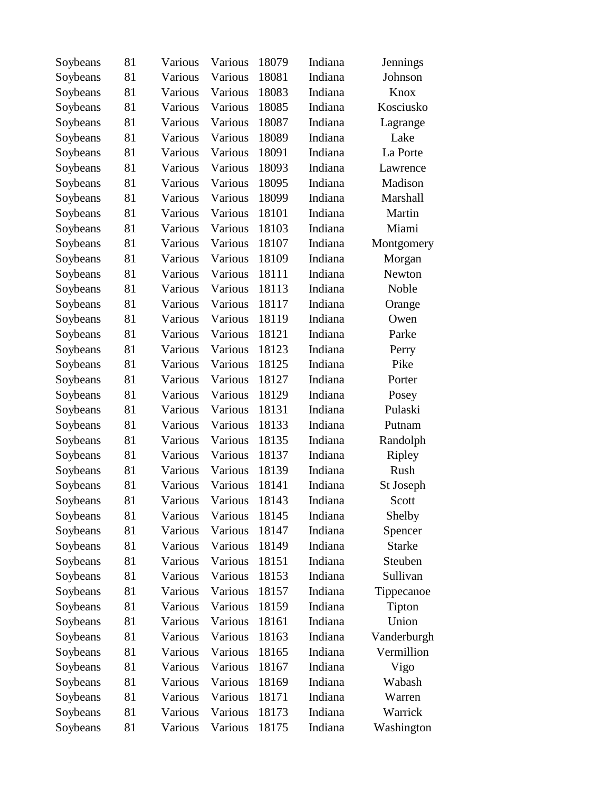| Soybeans | 81 | Various | Various | 18079 | Indiana | Jennings      |
|----------|----|---------|---------|-------|---------|---------------|
| Soybeans | 81 | Various | Various | 18081 | Indiana | Johnson       |
| Soybeans | 81 | Various | Various | 18083 | Indiana | Knox          |
| Soybeans | 81 | Various | Various | 18085 | Indiana | Kosciusko     |
| Soybeans | 81 | Various | Various | 18087 | Indiana | Lagrange      |
| Soybeans | 81 | Various | Various | 18089 | Indiana | Lake          |
| Soybeans | 81 | Various | Various | 18091 | Indiana | La Porte      |
| Soybeans | 81 | Various | Various | 18093 | Indiana | Lawrence      |
| Soybeans | 81 | Various | Various | 18095 | Indiana | Madison       |
| Soybeans | 81 | Various | Various | 18099 | Indiana | Marshall      |
| Soybeans | 81 | Various | Various | 18101 | Indiana | Martin        |
| Soybeans | 81 | Various | Various | 18103 | Indiana | Miami         |
| Soybeans | 81 | Various | Various | 18107 | Indiana | Montgomery    |
| Soybeans | 81 | Various | Various | 18109 | Indiana | Morgan        |
| Soybeans | 81 | Various | Various | 18111 | Indiana | Newton        |
| Soybeans | 81 | Various | Various | 18113 | Indiana | Noble         |
| Soybeans | 81 | Various | Various | 18117 | Indiana | Orange        |
| Soybeans | 81 | Various | Various | 18119 | Indiana | Owen          |
| Soybeans | 81 | Various | Various | 18121 | Indiana | Parke         |
| Soybeans | 81 | Various | Various | 18123 | Indiana | Perry         |
| Soybeans | 81 | Various | Various | 18125 | Indiana | Pike          |
| Soybeans | 81 | Various | Various | 18127 | Indiana | Porter        |
| Soybeans | 81 | Various | Various | 18129 | Indiana | Posey         |
| Soybeans | 81 | Various | Various | 18131 | Indiana | Pulaski       |
| Soybeans | 81 | Various | Various | 18133 | Indiana | Putnam        |
| Soybeans | 81 | Various | Various | 18135 | Indiana | Randolph      |
| Soybeans | 81 | Various | Various | 18137 | Indiana | Ripley        |
| Soybeans | 81 | Various | Various | 18139 | Indiana | Rush          |
| Soybeans | 81 | Various | Various | 18141 | Indiana | St Joseph     |
| Soybeans | 81 | Various | Various | 18143 | Indiana | Scott         |
| Soybeans | 81 | Various | Various | 18145 | Indiana | Shelby        |
| Soybeans | 81 | Various | Various | 18147 | Indiana | Spencer       |
| Soybeans | 81 | Various | Various | 18149 | Indiana | <b>Starke</b> |
| Soybeans | 81 | Various | Various | 18151 | Indiana | Steuben       |
| Soybeans | 81 | Various | Various | 18153 | Indiana | Sullivan      |
| Soybeans | 81 | Various | Various | 18157 | Indiana | Tippecanoe    |
| Soybeans | 81 | Various | Various | 18159 | Indiana | Tipton        |
| Soybeans | 81 | Various | Various | 18161 | Indiana | Union         |
| Soybeans | 81 | Various | Various | 18163 | Indiana | Vanderburgh   |
| Soybeans | 81 | Various | Various | 18165 | Indiana | Vermillion    |
| Soybeans | 81 | Various | Various | 18167 | Indiana | Vigo          |
| Soybeans | 81 | Various | Various | 18169 | Indiana | Wabash        |
| Soybeans | 81 | Various | Various | 18171 | Indiana | Warren        |
| Soybeans | 81 | Various | Various | 18173 | Indiana | Warrick       |
| Soybeans | 81 | Various | Various | 18175 | Indiana | Washington    |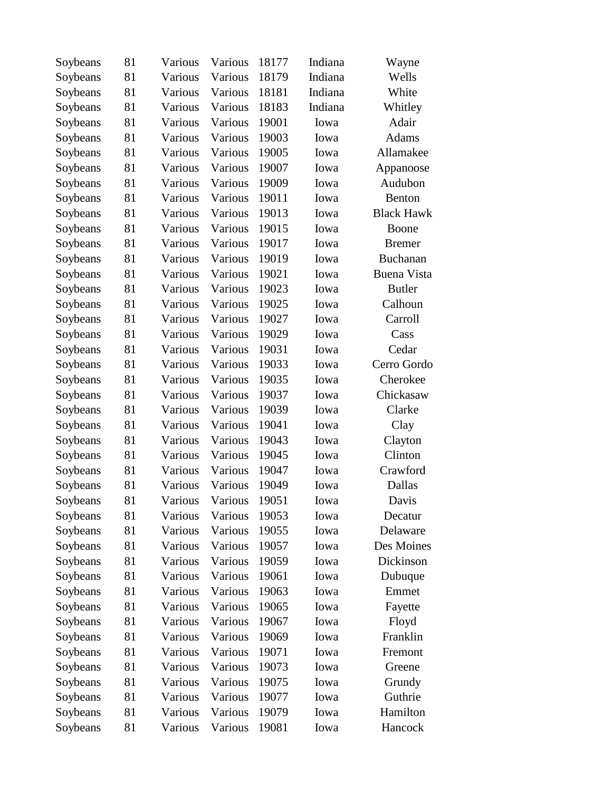| Soybeans | 81 | Various | Various | 18177 | Indiana | Wayne              |
|----------|----|---------|---------|-------|---------|--------------------|
| Soybeans | 81 | Various | Various | 18179 | Indiana | Wells              |
| Soybeans | 81 | Various | Various | 18181 | Indiana | White              |
| Soybeans | 81 | Various | Various | 18183 | Indiana | Whitley            |
| Soybeans | 81 | Various | Various | 19001 | Iowa    | Adair              |
| Soybeans | 81 | Various | Various | 19003 | Iowa    | Adams              |
| Soybeans | 81 | Various | Various | 19005 | Iowa    | Allamakee          |
| Soybeans | 81 | Various | Various | 19007 | Iowa    | Appanoose          |
| Soybeans | 81 | Various | Various | 19009 | Iowa    | Audubon            |
| Soybeans | 81 | Various | Various | 19011 | Iowa    | Benton             |
| Soybeans | 81 | Various | Various | 19013 | Iowa    | <b>Black Hawk</b>  |
| Soybeans | 81 | Various | Various | 19015 | Iowa    | Boone              |
| Soybeans | 81 | Various | Various | 19017 | Iowa    | <b>Bremer</b>      |
| Soybeans | 81 | Various | Various | 19019 | Iowa    | <b>Buchanan</b>    |
| Soybeans | 81 | Various | Various | 19021 | Iowa    | <b>Buena Vista</b> |
| Soybeans | 81 | Various | Various | 19023 | Iowa    | <b>Butler</b>      |
| Soybeans | 81 | Various | Various | 19025 | Iowa    | Calhoun            |
| Soybeans | 81 | Various | Various | 19027 | Iowa    | Carroll            |
| Soybeans | 81 | Various | Various | 19029 | Iowa    | Cass               |
| Soybeans | 81 | Various | Various | 19031 | Iowa    | Cedar              |
| Soybeans | 81 | Various | Various | 19033 | Iowa    | Cerro Gordo        |
| Soybeans | 81 | Various | Various | 19035 | Iowa    | Cherokee           |
| Soybeans | 81 | Various | Various | 19037 | Iowa    | Chickasaw          |
| Soybeans | 81 | Various | Various | 19039 | Iowa    | Clarke             |
| Soybeans | 81 | Various | Various | 19041 | Iowa    | Clay               |
| Soybeans | 81 | Various | Various | 19043 | Iowa    | Clayton            |
| Soybeans | 81 | Various | Various | 19045 | Iowa    | Clinton            |
| Soybeans | 81 | Various | Various | 19047 | Iowa    | Crawford           |
| Soybeans | 81 | Various | Various | 19049 | Iowa    | Dallas             |
| Soybeans | 81 | Various | Various | 19051 | Iowa    | Davis              |
| Soybeans | 81 | Various | Various | 19053 | Iowa    | Decatur            |
| Soybeans | 81 | Various | Various | 19055 | Iowa    | Delaware           |
| Soybeans | 81 | Various | Various | 19057 | Iowa    | Des Moines         |
| Soybeans | 81 | Various | Various | 19059 | Iowa    | Dickinson          |
| Soybeans | 81 | Various | Various | 19061 | Iowa    | Dubuque            |
| Soybeans | 81 | Various | Various | 19063 | Iowa    | Emmet              |
| Soybeans | 81 | Various | Various | 19065 | Iowa    | Fayette            |
| Soybeans | 81 | Various | Various | 19067 | Iowa    | Floyd              |
| Soybeans | 81 | Various | Various | 19069 | Iowa    | Franklin           |
| Soybeans | 81 | Various | Various | 19071 | Iowa    | Fremont            |
| Soybeans | 81 | Various | Various | 19073 | Iowa    | Greene             |
| Soybeans | 81 | Various | Various | 19075 | Iowa    | Grundy             |
| Soybeans | 81 | Various | Various | 19077 | Iowa    | Guthrie            |
| Soybeans | 81 | Various | Various | 19079 | Iowa    | Hamilton           |
| Soybeans | 81 | Various | Various | 19081 | Iowa    | Hancock            |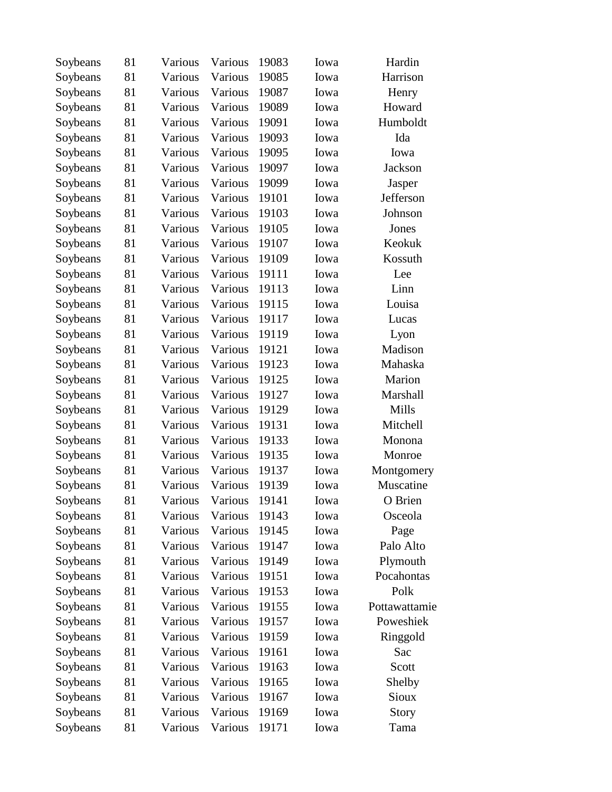| Soybeans | 81 | Various | Various | 19083 | Iowa | Hardin        |
|----------|----|---------|---------|-------|------|---------------|
| Soybeans | 81 | Various | Various | 19085 | Iowa | Harrison      |
| Soybeans | 81 | Various | Various | 19087 | Iowa | Henry         |
| Soybeans | 81 | Various | Various | 19089 | Iowa | Howard        |
| Soybeans | 81 | Various | Various | 19091 | Iowa | Humboldt      |
| Soybeans | 81 | Various | Various | 19093 | Iowa | Ida           |
| Soybeans | 81 | Various | Various | 19095 | Iowa | Iowa          |
| Soybeans | 81 | Various | Various | 19097 | Iowa | Jackson       |
| Soybeans | 81 | Various | Various | 19099 | Iowa | Jasper        |
| Soybeans | 81 | Various | Various | 19101 | Iowa | Jefferson     |
| Soybeans | 81 | Various | Various | 19103 | Iowa | Johnson       |
| Soybeans | 81 | Various | Various | 19105 | Iowa | Jones         |
| Soybeans | 81 | Various | Various | 19107 | Iowa | Keokuk        |
| Soybeans | 81 | Various | Various | 19109 | Iowa | Kossuth       |
| Soybeans | 81 | Various | Various | 19111 | Iowa | Lee           |
| Soybeans | 81 | Various | Various | 19113 | Iowa | Linn          |
| Soybeans | 81 | Various | Various | 19115 | Iowa | Louisa        |
| Soybeans | 81 | Various | Various | 19117 | Iowa | Lucas         |
| Soybeans | 81 | Various | Various | 19119 | Iowa | Lyon          |
| Soybeans | 81 | Various | Various | 19121 | Iowa | Madison       |
| Soybeans | 81 | Various | Various | 19123 | Iowa | Mahaska       |
| Soybeans | 81 | Various | Various | 19125 | Iowa | Marion        |
| Soybeans | 81 | Various | Various | 19127 | Iowa | Marshall      |
| Soybeans | 81 | Various | Various | 19129 | Iowa | Mills         |
| Soybeans | 81 | Various | Various | 19131 | Iowa | Mitchell      |
| Soybeans | 81 | Various | Various | 19133 | Iowa | Monona        |
| Soybeans | 81 | Various | Various | 19135 | Iowa | Monroe        |
| Soybeans | 81 | Various | Various | 19137 | Iowa | Montgomery    |
| Soybeans | 81 | Various | Various | 19139 | Iowa | Muscatine     |
| Soybeans | 81 | Various | Various | 19141 | Iowa | O Brien       |
| Soybeans | 81 | Various | Various | 19143 | Iowa | Osceola       |
| Soybeans | 81 | Various | Various | 19145 | Iowa | Page          |
| Soybeans | 81 | Various | Various | 19147 | Iowa | Palo Alto     |
| Soybeans | 81 | Various | Various | 19149 | Iowa | Plymouth      |
| Soybeans | 81 | Various | Various | 19151 | Iowa | Pocahontas    |
| Soybeans | 81 | Various | Various | 19153 | Iowa | Polk          |
| Soybeans | 81 | Various | Various | 19155 | Iowa | Pottawattamie |
| Soybeans | 81 | Various | Various | 19157 | Iowa | Poweshiek     |
| Soybeans | 81 | Various | Various | 19159 | Iowa | Ringgold      |
| Soybeans | 81 | Various | Various | 19161 | Iowa | Sac           |
| Soybeans | 81 | Various | Various | 19163 | Iowa | Scott         |
| Soybeans | 81 | Various | Various | 19165 | Iowa | Shelby        |
| Soybeans | 81 | Various | Various | 19167 | Iowa | Sioux         |
| Soybeans | 81 | Various | Various | 19169 | Iowa | Story         |
| Soybeans | 81 | Various | Various | 19171 | Iowa | Tama          |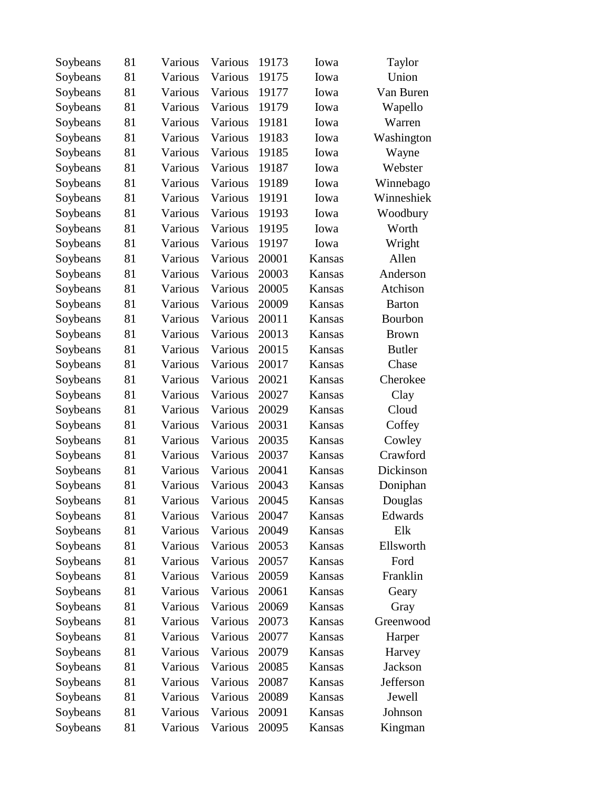| Soybeans | 81 | Various | Various | 19173 | Iowa   | Taylor        |
|----------|----|---------|---------|-------|--------|---------------|
| Soybeans | 81 | Various | Various | 19175 | Iowa   | Union         |
| Soybeans | 81 | Various | Various | 19177 | Iowa   | Van Buren     |
| Soybeans | 81 | Various | Various | 19179 | Iowa   | Wapello       |
| Soybeans | 81 | Various | Various | 19181 | Iowa   | Warren        |
| Soybeans | 81 | Various | Various | 19183 | Iowa   | Washington    |
| Soybeans | 81 | Various | Various | 19185 | Iowa   | Wayne         |
| Soybeans | 81 | Various | Various | 19187 | Iowa   | Webster       |
| Soybeans | 81 | Various | Various | 19189 | Iowa   | Winnebago     |
| Soybeans | 81 | Various | Various | 19191 | Iowa   | Winneshiek    |
| Soybeans | 81 | Various | Various | 19193 | Iowa   | Woodbury      |
| Soybeans | 81 | Various | Various | 19195 | Iowa   | Worth         |
| Soybeans | 81 | Various | Various | 19197 | Iowa   | Wright        |
| Soybeans | 81 | Various | Various | 20001 | Kansas | Allen         |
| Soybeans | 81 | Various | Various | 20003 | Kansas | Anderson      |
| Soybeans | 81 | Various | Various | 20005 | Kansas | Atchison      |
| Soybeans | 81 | Various | Various | 20009 | Kansas | <b>Barton</b> |
| Soybeans | 81 | Various | Various | 20011 | Kansas | Bourbon       |
| Soybeans | 81 | Various | Various | 20013 | Kansas | <b>Brown</b>  |
| Soybeans | 81 | Various | Various | 20015 | Kansas | <b>Butler</b> |
| Soybeans | 81 | Various | Various | 20017 | Kansas | Chase         |
| Soybeans | 81 | Various | Various | 20021 | Kansas | Cherokee      |
| Soybeans | 81 | Various | Various | 20027 | Kansas | Clay          |
| Soybeans | 81 | Various | Various | 20029 | Kansas | Cloud         |
| Soybeans | 81 | Various | Various | 20031 | Kansas | Coffey        |
| Soybeans | 81 | Various | Various | 20035 | Kansas | Cowley        |
| Soybeans | 81 | Various | Various | 20037 | Kansas | Crawford      |
| Soybeans | 81 | Various | Various | 20041 | Kansas | Dickinson     |
| Soybeans | 81 | Various | Various | 20043 | Kansas | Doniphan      |
| Soybeans | 81 | Various | Various | 20045 | Kansas | Douglas       |
| Soybeans | 81 | Various | Various | 20047 | Kansas | Edwards       |
| Soybeans | 81 | Various | Various | 20049 | Kansas | Elk           |
| Soybeans | 81 | Various | Various | 20053 | Kansas | Ellsworth     |
| Soybeans | 81 | Various | Various | 20057 | Kansas | Ford          |
| Soybeans | 81 | Various | Various | 20059 | Kansas | Franklin      |
| Soybeans | 81 | Various | Various | 20061 | Kansas | Geary         |
| Soybeans | 81 | Various | Various | 20069 | Kansas | Gray          |
| Soybeans | 81 | Various | Various | 20073 | Kansas | Greenwood     |
| Soybeans | 81 | Various | Various | 20077 | Kansas | Harper        |
| Soybeans | 81 | Various | Various | 20079 | Kansas | Harvey        |
| Soybeans | 81 | Various | Various | 20085 | Kansas | Jackson       |
| Soybeans | 81 | Various | Various | 20087 | Kansas | Jefferson     |
| Soybeans | 81 | Various | Various | 20089 | Kansas | Jewell        |
| Soybeans | 81 | Various | Various | 20091 | Kansas | Johnson       |
| Soybeans | 81 | Various | Various | 20095 | Kansas | Kingman       |
|          |    |         |         |       |        |               |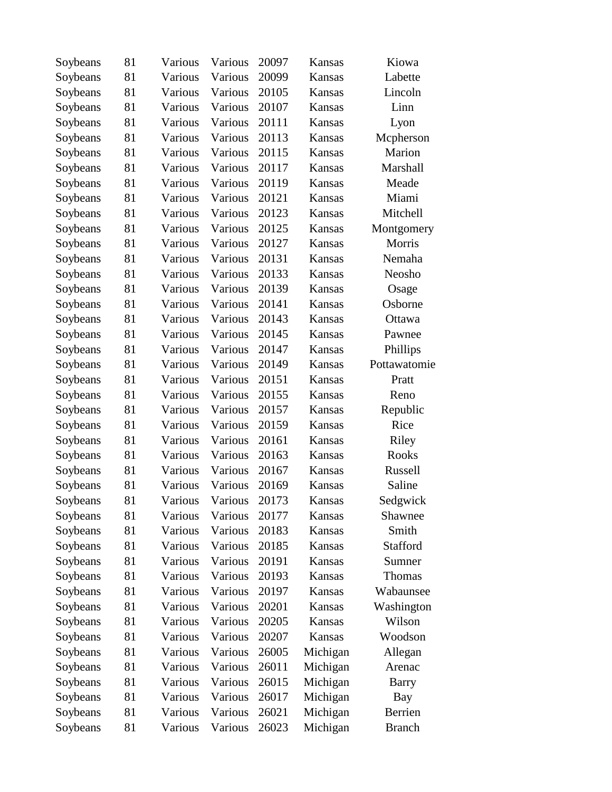| Soybeans | 81 | Various | Various | 20097 | Kansas        | Kiowa         |
|----------|----|---------|---------|-------|---------------|---------------|
| Soybeans | 81 | Various | Various | 20099 | Kansas        | Labette       |
| Soybeans | 81 | Various | Various | 20105 | Kansas        | Lincoln       |
| Soybeans | 81 | Various | Various | 20107 | Kansas        | Linn          |
| Soybeans | 81 | Various | Various | 20111 | Kansas        | Lyon          |
| Soybeans | 81 | Various | Various | 20113 | Kansas        | Mcpherson     |
| Soybeans | 81 | Various | Various | 20115 | Kansas        | Marion        |
| Soybeans | 81 | Various | Various | 20117 | Kansas        | Marshall      |
| Soybeans | 81 | Various | Various | 20119 | <b>Kansas</b> | Meade         |
| Soybeans | 81 | Various | Various | 20121 | Kansas        | Miami         |
| Soybeans | 81 | Various | Various | 20123 | Kansas        | Mitchell      |
| Soybeans | 81 | Various | Various | 20125 | Kansas        | Montgomery    |
| Soybeans | 81 | Various | Various | 20127 | Kansas        | Morris        |
| Soybeans | 81 | Various | Various | 20131 | Kansas        | Nemaha        |
| Soybeans | 81 | Various | Various | 20133 | Kansas        | Neosho        |
| Soybeans | 81 | Various | Various | 20139 | Kansas        | Osage         |
| Soybeans | 81 | Various | Various | 20141 | Kansas        | Osborne       |
| Soybeans | 81 | Various | Various | 20143 | Kansas        | Ottawa        |
| Soybeans | 81 | Various | Various | 20145 | Kansas        | Pawnee        |
| Soybeans | 81 | Various | Various | 20147 | Kansas        | Phillips      |
| Soybeans | 81 | Various | Various | 20149 | Kansas        | Pottawatomie  |
| Soybeans | 81 | Various | Various | 20151 | Kansas        | Pratt         |
| Soybeans | 81 | Various | Various | 20155 | Kansas        | Reno          |
| Soybeans | 81 | Various | Various | 20157 | Kansas        | Republic      |
| Soybeans | 81 | Various | Various | 20159 | Kansas        | Rice          |
| Soybeans | 81 | Various | Various | 20161 | Kansas        | Riley         |
| Soybeans | 81 | Various | Various | 20163 | Kansas        | Rooks         |
| Soybeans | 81 | Various | Various | 20167 | Kansas        | Russell       |
| Soybeans | 81 | Various | Various | 20169 | Kansas        | Saline        |
| Soybeans | 81 | Various | Various | 20173 | Kansas        | Sedgwick      |
| Soybeans | 81 | Various | Various | 20177 | Kansas        | Shawnee       |
| Soybeans | 81 | Various | Various | 20183 | Kansas        | Smith         |
| Soybeans | 81 | Various | Various | 20185 | Kansas        | Stafford      |
| Soybeans | 81 | Various | Various | 20191 | Kansas        | Sumner        |
| Soybeans | 81 | Various | Various | 20193 | Kansas        | Thomas        |
| Soybeans | 81 | Various | Various | 20197 | Kansas        | Wabaunsee     |
| Soybeans | 81 | Various | Various | 20201 | Kansas        | Washington    |
| Soybeans | 81 | Various | Various | 20205 | Kansas        | Wilson        |
| Soybeans | 81 | Various | Various | 20207 | Kansas        | Woodson       |
| Soybeans | 81 | Various | Various | 26005 | Michigan      | Allegan       |
| Soybeans | 81 | Various | Various | 26011 | Michigan      | Arenac        |
| Soybeans | 81 | Various | Various | 26015 | Michigan      | Barry         |
| Soybeans | 81 | Various | Various | 26017 | Michigan      | Bay           |
| Soybeans | 81 | Various | Various | 26021 | Michigan      | Berrien       |
| Soybeans | 81 | Various | Various | 26023 | Michigan      | <b>Branch</b> |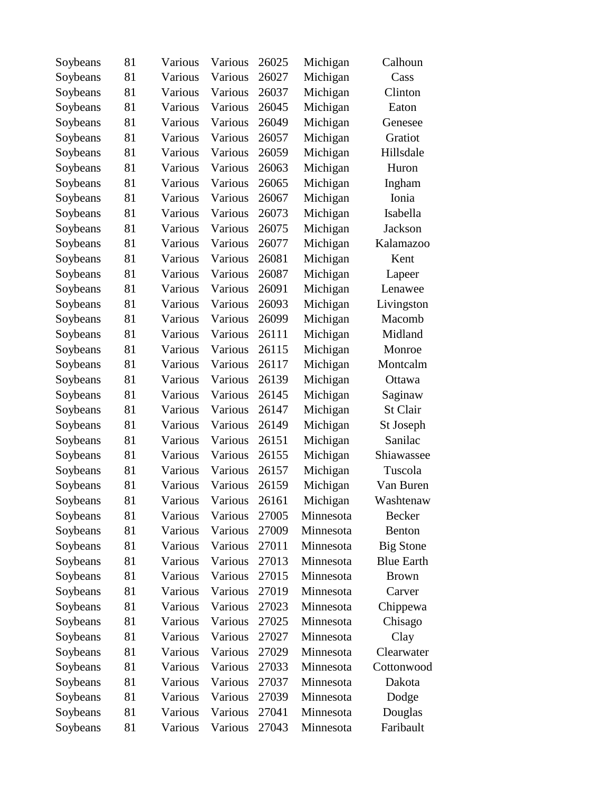| Soybeans | 81 | Various | Various | 26025 | Michigan  | Calhoun           |
|----------|----|---------|---------|-------|-----------|-------------------|
| Soybeans | 81 | Various | Various | 26027 | Michigan  | Cass              |
| Soybeans | 81 | Various | Various | 26037 | Michigan  | Clinton           |
| Soybeans | 81 | Various | Various | 26045 | Michigan  | Eaton             |
| Soybeans | 81 | Various | Various | 26049 | Michigan  | Genesee           |
| Soybeans | 81 | Various | Various | 26057 | Michigan  | Gratiot           |
| Soybeans | 81 | Various | Various | 26059 | Michigan  | Hillsdale         |
| Soybeans | 81 | Various | Various | 26063 | Michigan  | Huron             |
| Soybeans | 81 | Various | Various | 26065 | Michigan  | Ingham            |
| Soybeans | 81 | Various | Various | 26067 | Michigan  | Ionia             |
| Soybeans | 81 | Various | Various | 26073 | Michigan  | Isabella          |
| Soybeans | 81 | Various | Various | 26075 | Michigan  | <b>Jackson</b>    |
| Soybeans | 81 | Various | Various | 26077 | Michigan  | Kalamazoo         |
| Soybeans | 81 | Various | Various | 26081 | Michigan  | Kent              |
| Soybeans | 81 | Various | Various | 26087 | Michigan  | Lapeer            |
| Soybeans | 81 | Various | Various | 26091 | Michigan  | Lenawee           |
| Soybeans | 81 | Various | Various | 26093 | Michigan  | Livingston        |
| Soybeans | 81 | Various | Various | 26099 | Michigan  | Macomb            |
| Soybeans | 81 | Various | Various | 26111 | Michigan  | Midland           |
| Soybeans | 81 | Various | Various | 26115 | Michigan  | Monroe            |
| Soybeans | 81 | Various | Various | 26117 | Michigan  | Montcalm          |
| Soybeans | 81 | Various | Various | 26139 | Michigan  | Ottawa            |
| Soybeans | 81 | Various | Various | 26145 | Michigan  | Saginaw           |
| Soybeans | 81 | Various | Various | 26147 | Michigan  | St Clair          |
| Soybeans | 81 | Various | Various | 26149 | Michigan  | St Joseph         |
| Soybeans | 81 | Various | Various | 26151 | Michigan  | Sanilac           |
| Soybeans | 81 | Various | Various | 26155 | Michigan  | Shiawassee        |
| Soybeans | 81 | Various | Various | 26157 | Michigan  | Tuscola           |
| Soybeans | 81 | Various | Various | 26159 | Michigan  | Van Buren         |
| Soybeans | 81 | Various | Various | 26161 | Michigan  | Washtenaw         |
| Soybeans | 81 | Various | Various | 27005 | Minnesota | Becker            |
| Soybeans | 81 | Various | Various | 27009 | Minnesota | Benton            |
| Soybeans | 81 | Various | Various | 27011 | Minnesota | <b>Big Stone</b>  |
| Soybeans | 81 | Various | Various | 27013 | Minnesota | <b>Blue Earth</b> |
| Soybeans | 81 | Various | Various | 27015 | Minnesota | <b>Brown</b>      |
| Soybeans | 81 | Various | Various | 27019 | Minnesota | Carver            |
| Soybeans | 81 | Various | Various | 27023 | Minnesota | Chippewa          |
| Soybeans | 81 | Various | Various | 27025 | Minnesota | Chisago           |
| Soybeans | 81 | Various | Various | 27027 | Minnesota | Clay              |
| Soybeans | 81 | Various | Various | 27029 | Minnesota | Clearwater        |
| Soybeans | 81 | Various | Various | 27033 | Minnesota | Cottonwood        |
| Soybeans | 81 | Various | Various | 27037 | Minnesota | Dakota            |
| Soybeans | 81 | Various | Various | 27039 | Minnesota | Dodge             |
| Soybeans | 81 | Various | Various | 27041 | Minnesota | Douglas           |
| Soybeans | 81 | Various | Various | 27043 | Minnesota | Faribault         |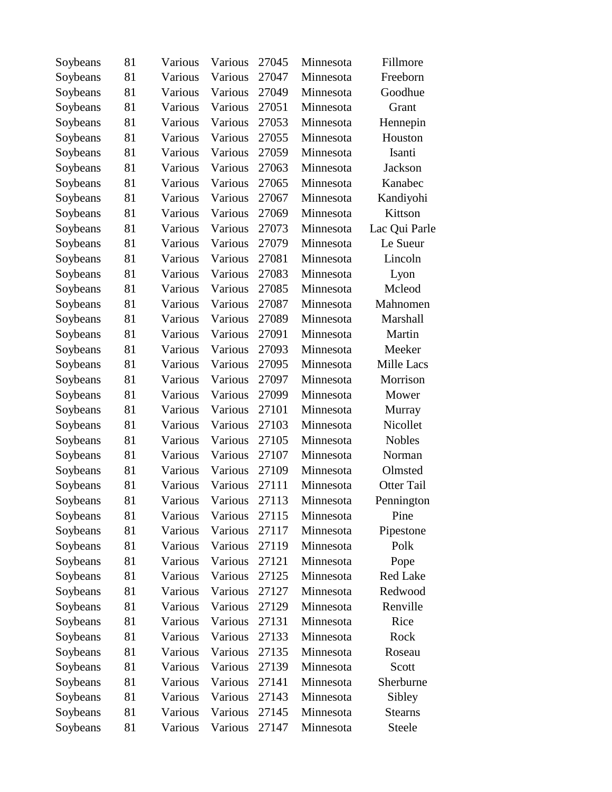| Soybeans | 81 | Various | Various | 27045 | Minnesota | Fillmore          |
|----------|----|---------|---------|-------|-----------|-------------------|
| Soybeans | 81 | Various | Various | 27047 | Minnesota | Freeborn          |
| Soybeans | 81 | Various | Various | 27049 | Minnesota | Goodhue           |
| Soybeans | 81 | Various | Various | 27051 | Minnesota | Grant             |
| Soybeans | 81 | Various | Various | 27053 | Minnesota | Hennepin          |
| Soybeans | 81 | Various | Various | 27055 | Minnesota | Houston           |
| Soybeans | 81 | Various | Various | 27059 | Minnesota | Isanti            |
| Soybeans | 81 | Various | Various | 27063 | Minnesota | Jackson           |
| Soybeans | 81 | Various | Various | 27065 | Minnesota | Kanabec           |
| Soybeans | 81 | Various | Various | 27067 | Minnesota | Kandiyohi         |
| Soybeans | 81 | Various | Various | 27069 | Minnesota | Kittson           |
| Soybeans | 81 | Various | Various | 27073 | Minnesota | Lac Qui Parle     |
| Soybeans | 81 | Various | Various | 27079 | Minnesota | Le Sueur          |
| Soybeans | 81 | Various | Various | 27081 | Minnesota | Lincoln           |
| Soybeans | 81 | Various | Various | 27083 | Minnesota | Lyon              |
| Soybeans | 81 | Various | Various | 27085 | Minnesota | Mcleod            |
| Soybeans | 81 | Various | Various | 27087 | Minnesota | Mahnomen          |
| Soybeans | 81 | Various | Various | 27089 | Minnesota | Marshall          |
| Soybeans | 81 | Various | Various | 27091 | Minnesota | Martin            |
| Soybeans | 81 | Various | Various | 27093 | Minnesota | Meeker            |
| Soybeans | 81 | Various | Various | 27095 | Minnesota | <b>Mille Lacs</b> |
| Soybeans | 81 | Various | Various | 27097 | Minnesota | Morrison          |
| Soybeans | 81 | Various | Various | 27099 | Minnesota | Mower             |
| Soybeans | 81 | Various | Various | 27101 | Minnesota | Murray            |
| Soybeans | 81 | Various | Various | 27103 | Minnesota | Nicollet          |
| Soybeans | 81 | Various | Various | 27105 | Minnesota | <b>Nobles</b>     |
| Soybeans | 81 | Various | Various | 27107 | Minnesota | Norman            |
| Soybeans | 81 | Various | Various | 27109 | Minnesota | Olmsted           |
| Soybeans | 81 | Various | Various | 27111 | Minnesota | <b>Otter Tail</b> |
| Soybeans | 81 | Various | Various | 27113 | Minnesota | Pennington        |
| Soybeans | 81 | Various | Various | 27115 | Minnesota | Pine              |
| Soybeans | 81 | Various | Various | 27117 | Minnesota | Pipestone         |
| Soybeans | 81 | Various | Various | 27119 | Minnesota | Polk              |
| Soybeans | 81 | Various | Various | 27121 | Minnesota | Pope              |
| Soybeans | 81 | Various | Various | 27125 | Minnesota | <b>Red Lake</b>   |
| Soybeans | 81 | Various | Various | 27127 | Minnesota | Redwood           |
| Soybeans | 81 | Various | Various | 27129 | Minnesota | Renville          |
| Soybeans | 81 | Various | Various | 27131 | Minnesota | Rice              |
| Soybeans | 81 | Various | Various | 27133 | Minnesota | Rock              |
| Soybeans | 81 | Various | Various | 27135 | Minnesota | Roseau            |
| Soybeans | 81 | Various | Various | 27139 | Minnesota | Scott             |
| Soybeans | 81 | Various | Various | 27141 | Minnesota | Sherburne         |
| Soybeans | 81 | Various | Various | 27143 | Minnesota | Sibley            |
| Soybeans | 81 | Various | Various | 27145 | Minnesota | <b>Stearns</b>    |
| Soybeans | 81 | Various | Various | 27147 | Minnesota | Steele            |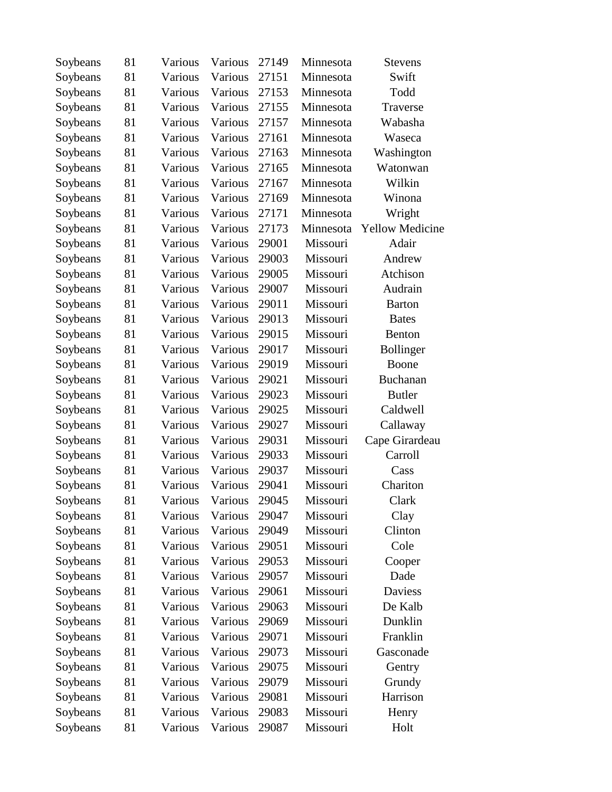| Soybeans | 81 | Various | Various | 27149 | Minnesota | <b>Stevens</b>         |
|----------|----|---------|---------|-------|-----------|------------------------|
| Soybeans | 81 | Various | Various | 27151 | Minnesota | Swift                  |
| Soybeans | 81 | Various | Various | 27153 | Minnesota | Todd                   |
| Soybeans | 81 | Various | Various | 27155 | Minnesota | Traverse               |
| Soybeans | 81 | Various | Various | 27157 | Minnesota | Wabasha                |
| Soybeans | 81 | Various | Various | 27161 | Minnesota | Waseca                 |
| Soybeans | 81 | Various | Various | 27163 | Minnesota | Washington             |
| Soybeans | 81 | Various | Various | 27165 | Minnesota | Watonwan               |
| Soybeans | 81 | Various | Various | 27167 | Minnesota | Wilkin                 |
| Soybeans | 81 | Various | Various | 27169 | Minnesota | Winona                 |
| Soybeans | 81 | Various | Various | 27171 | Minnesota | Wright                 |
| Soybeans | 81 | Various | Various | 27173 | Minnesota | <b>Yellow Medicine</b> |
| Soybeans | 81 | Various | Various | 29001 | Missouri  | Adair                  |
| Soybeans | 81 | Various | Various | 29003 | Missouri  | Andrew                 |
| Soybeans | 81 | Various | Various | 29005 | Missouri  | Atchison               |
| Soybeans | 81 | Various | Various | 29007 | Missouri  | Audrain                |
| Soybeans | 81 | Various | Various | 29011 | Missouri  | <b>Barton</b>          |
| Soybeans | 81 | Various | Various | 29013 | Missouri  | <b>Bates</b>           |
| Soybeans | 81 | Various | Various | 29015 | Missouri  | Benton                 |
| Soybeans | 81 | Various | Various | 29017 | Missouri  | <b>Bollinger</b>       |
| Soybeans | 81 | Various | Various | 29019 | Missouri  | Boone                  |
| Soybeans | 81 | Various | Various | 29021 | Missouri  | Buchanan               |
| Soybeans | 81 | Various | Various | 29023 | Missouri  | <b>Butler</b>          |
| Soybeans | 81 | Various | Various | 29025 | Missouri  | Caldwell               |
| Soybeans | 81 | Various | Various | 29027 | Missouri  | Callaway               |
| Soybeans | 81 | Various | Various | 29031 | Missouri  | Cape Girardeau         |
| Soybeans | 81 | Various | Various | 29033 | Missouri  | Carroll                |
| Soybeans | 81 | Various | Various | 29037 | Missouri  | Cass                   |
| Soybeans | 81 | Various | Various | 29041 | Missouri  | Chariton               |
| Soybeans | 81 | Various | Various | 29045 | Missouri  | Clark                  |
| Soybeans | 81 | Various | Various | 29047 | Missouri  | Clay                   |
| Soybeans | 81 | Various | Various | 29049 | Missouri  | Clinton                |
| Soybeans | 81 | Various | Various | 29051 | Missouri  | Cole                   |
| Soybeans | 81 | Various | Various | 29053 | Missouri  | Cooper                 |
| Soybeans | 81 | Various | Various | 29057 | Missouri  | Dade                   |
| Soybeans | 81 | Various | Various | 29061 | Missouri  | Daviess                |
| Soybeans | 81 | Various | Various | 29063 | Missouri  | De Kalb                |
| Soybeans | 81 | Various | Various | 29069 | Missouri  | Dunklin                |
| Soybeans | 81 | Various | Various | 29071 | Missouri  | Franklin               |
| Soybeans | 81 | Various | Various | 29073 | Missouri  | Gasconade              |
| Soybeans | 81 | Various | Various | 29075 | Missouri  | Gentry                 |
| Soybeans | 81 | Various | Various | 29079 | Missouri  | Grundy                 |
| Soybeans | 81 | Various | Various | 29081 | Missouri  | Harrison               |
| Soybeans | 81 | Various | Various | 29083 | Missouri  | Henry                  |
| Soybeans | 81 | Various | Various | 29087 | Missouri  | Holt                   |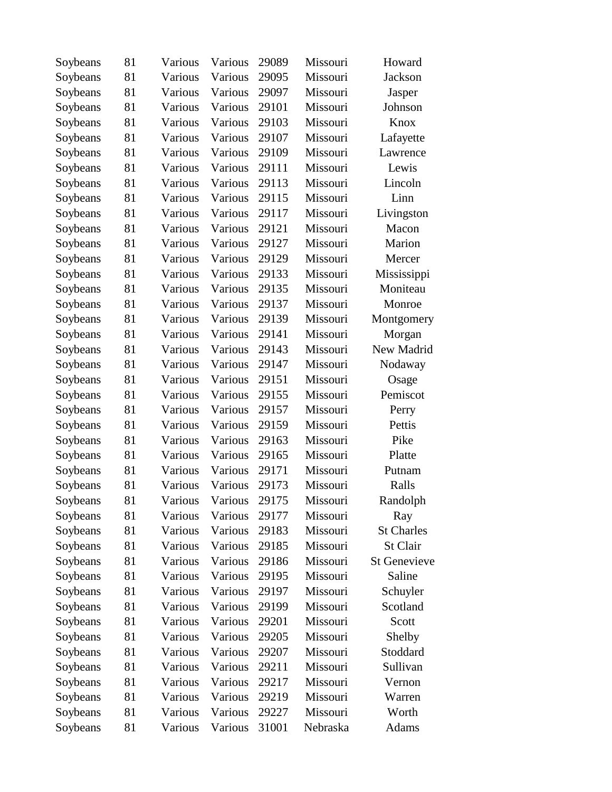| Soybeans | 81 | Various | Various | 29089 | Missouri | Howard              |
|----------|----|---------|---------|-------|----------|---------------------|
| Soybeans | 81 | Various | Various | 29095 | Missouri | <b>Jackson</b>      |
| Soybeans | 81 | Various | Various | 29097 | Missouri | Jasper              |
| Soybeans | 81 | Various | Various | 29101 | Missouri | Johnson             |
| Soybeans | 81 | Various | Various | 29103 | Missouri | Knox                |
| Soybeans | 81 | Various | Various | 29107 | Missouri | Lafayette           |
| Soybeans | 81 | Various | Various | 29109 | Missouri | Lawrence            |
| Soybeans | 81 | Various | Various | 29111 | Missouri | Lewis               |
| Soybeans | 81 | Various | Various | 29113 | Missouri | Lincoln             |
| Soybeans | 81 | Various | Various | 29115 | Missouri | Linn                |
| Soybeans | 81 | Various | Various | 29117 | Missouri | Livingston          |
| Soybeans | 81 | Various | Various | 29121 | Missouri | Macon               |
| Soybeans | 81 | Various | Various | 29127 | Missouri | Marion              |
| Soybeans | 81 | Various | Various | 29129 | Missouri | Mercer              |
| Soybeans | 81 | Various | Various | 29133 | Missouri | Mississippi         |
| Soybeans | 81 | Various | Various | 29135 | Missouri | Moniteau            |
| Soybeans | 81 | Various | Various | 29137 | Missouri | Monroe              |
| Soybeans | 81 | Various | Various | 29139 | Missouri | Montgomery          |
| Soybeans | 81 | Various | Various | 29141 | Missouri | Morgan              |
| Soybeans | 81 | Various | Various | 29143 | Missouri | New Madrid          |
| Soybeans | 81 | Various | Various | 29147 | Missouri | Nodaway             |
| Soybeans | 81 | Various | Various | 29151 | Missouri | Osage               |
| Soybeans | 81 | Various | Various | 29155 | Missouri | Pemiscot            |
| Soybeans | 81 | Various | Various | 29157 | Missouri | Perry               |
| Soybeans | 81 | Various | Various | 29159 | Missouri | Pettis              |
| Soybeans | 81 | Various | Various | 29163 | Missouri | Pike                |
| Soybeans | 81 | Various | Various | 29165 | Missouri | Platte              |
| Soybeans | 81 | Various | Various | 29171 | Missouri | Putnam              |
| Soybeans | 81 | Various | Various | 29173 | Missouri | Ralls               |
| Soybeans | 81 | Various | Various | 29175 | Missouri | Randolph            |
| Soybeans | 81 | Various | Various | 29177 | Missouri | Ray                 |
| Soybeans | 81 | Various | Various | 29183 | Missouri | <b>St Charles</b>   |
| Soybeans | 81 | Various | Various | 29185 | Missouri | St Clair            |
| Soybeans | 81 | Various | Various | 29186 | Missouri | <b>St Genevieve</b> |
| Soybeans | 81 | Various | Various | 29195 | Missouri | Saline              |
| Soybeans | 81 | Various | Various | 29197 | Missouri | Schuyler            |
| Soybeans | 81 | Various | Various | 29199 | Missouri | Scotland            |
| Soybeans | 81 | Various | Various | 29201 | Missouri | Scott               |
| Soybeans | 81 | Various | Various | 29205 | Missouri | Shelby              |
| Soybeans | 81 | Various | Various | 29207 | Missouri | Stoddard            |
| Soybeans | 81 | Various | Various | 29211 | Missouri | Sullivan            |
| Soybeans | 81 | Various | Various | 29217 | Missouri | Vernon              |
| Soybeans | 81 | Various | Various | 29219 | Missouri | Warren              |
| Soybeans | 81 | Various | Various | 29227 | Missouri | Worth               |
| Soybeans | 81 | Various | Various | 31001 | Nebraska | Adams               |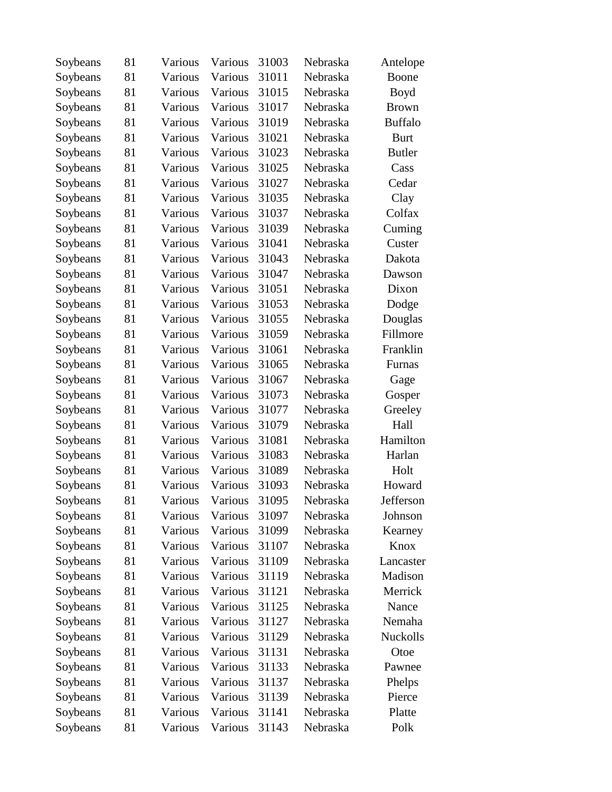| Soybeans | 81 | Various | Various | 31003 | Nebraska | Antelope       |
|----------|----|---------|---------|-------|----------|----------------|
| Soybeans | 81 | Various | Various | 31011 | Nebraska | Boone          |
| Soybeans | 81 | Various | Various | 31015 | Nebraska | <b>Boyd</b>    |
| Soybeans | 81 | Various | Various | 31017 | Nebraska | <b>Brown</b>   |
| Soybeans | 81 | Various | Various | 31019 | Nebraska | <b>Buffalo</b> |
| Soybeans | 81 | Various | Various | 31021 | Nebraska | <b>Burt</b>    |
| Soybeans | 81 | Various | Various | 31023 | Nebraska | <b>Butler</b>  |
| Soybeans | 81 | Various | Various | 31025 | Nebraska | Cass           |
| Soybeans | 81 | Various | Various | 31027 | Nebraska | Cedar          |
| Soybeans | 81 | Various | Various | 31035 | Nebraska | Clay           |
| Soybeans | 81 | Various | Various | 31037 | Nebraska | Colfax         |
| Soybeans | 81 | Various | Various | 31039 | Nebraska | Cuming         |
| Soybeans | 81 | Various | Various | 31041 | Nebraska | Custer         |
| Soybeans | 81 | Various | Various | 31043 | Nebraska | Dakota         |
| Soybeans | 81 | Various | Various | 31047 | Nebraska | Dawson         |
| Soybeans | 81 | Various | Various | 31051 | Nebraska | Dixon          |
| Soybeans | 81 | Various | Various | 31053 | Nebraska | Dodge          |
| Soybeans | 81 | Various | Various | 31055 | Nebraska | Douglas        |
| Soybeans | 81 | Various | Various | 31059 | Nebraska | Fillmore       |
| Soybeans | 81 | Various | Various | 31061 | Nebraska | Franklin       |
| Soybeans | 81 | Various | Various | 31065 | Nebraska | Furnas         |
| Soybeans | 81 | Various | Various | 31067 | Nebraska | Gage           |
| Soybeans | 81 | Various | Various | 31073 | Nebraska | Gosper         |
| Soybeans | 81 | Various | Various | 31077 | Nebraska | Greeley        |
| Soybeans | 81 | Various | Various | 31079 | Nebraska | Hall           |
| Soybeans | 81 | Various | Various | 31081 | Nebraska | Hamilton       |
| Soybeans | 81 | Various | Various | 31083 | Nebraska | Harlan         |
| Soybeans | 81 | Various | Various | 31089 | Nebraska | Holt           |
| Soybeans | 81 | Various | Various | 31093 | Nebraska | Howard         |
| Soybeans | 81 | Various | Various | 31095 | Nebraska | Jefferson      |
| Soybeans | 81 | Various | Various | 31097 | Nebraska | Johnson        |
| Soybeans | 81 | Various | Various | 31099 | Nebraska | Kearney        |
| Soybeans | 81 | Various | Various | 31107 | Nebraska | Knox           |
| Soybeans | 81 | Various | Various | 31109 | Nebraska | Lancaster      |
| Soybeans | 81 | Various | Various | 31119 | Nebraska | Madison        |
| Soybeans | 81 | Various | Various | 31121 | Nebraska | Merrick        |
| Soybeans | 81 | Various | Various | 31125 | Nebraska | Nance          |
| Soybeans | 81 | Various | Various | 31127 | Nebraska | Nemaha         |
| Soybeans | 81 | Various | Various | 31129 | Nebraska | Nuckolls       |
| Soybeans | 81 | Various | Various | 31131 | Nebraska | Otoe           |
| Soybeans | 81 | Various | Various | 31133 | Nebraska | Pawnee         |
| Soybeans | 81 | Various | Various | 31137 | Nebraska | Phelps         |
| Soybeans | 81 | Various | Various | 31139 | Nebraska | Pierce         |
| Soybeans | 81 | Various | Various | 31141 | Nebraska | Platte         |
| Soybeans | 81 | Various | Various | 31143 | Nebraska | Polk           |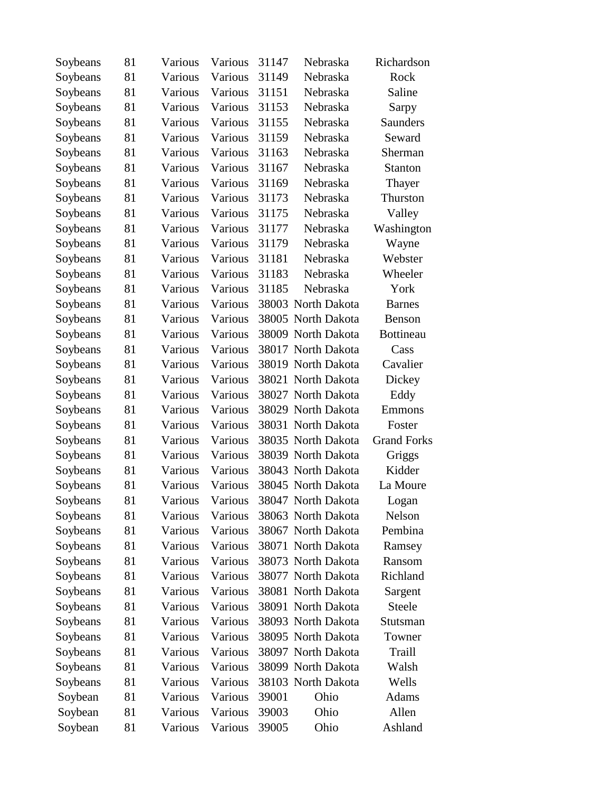| Soybeans | 81 | Various | Various | 31147 | Nebraska           | Richardson         |
|----------|----|---------|---------|-------|--------------------|--------------------|
| Soybeans | 81 | Various | Various | 31149 | Nebraska           | Rock               |
| Soybeans | 81 | Various | Various | 31151 | Nebraska           | Saline             |
| Soybeans | 81 | Various | Various | 31153 | Nebraska           | Sarpy              |
| Soybeans | 81 | Various | Various | 31155 | Nebraska           | <b>Saunders</b>    |
| Soybeans | 81 | Various | Various | 31159 | Nebraska           | Seward             |
| Soybeans | 81 | Various | Various | 31163 | Nebraska           | Sherman            |
| Soybeans | 81 | Various | Various | 31167 | Nebraska           | Stanton            |
| Soybeans | 81 | Various | Various | 31169 | Nebraska           | Thayer             |
| Soybeans | 81 | Various | Various | 31173 | Nebraska           | Thurston           |
| Soybeans | 81 | Various | Various | 31175 | Nebraska           | Valley             |
| Soybeans | 81 | Various | Various | 31177 | Nebraska           | Washington         |
| Soybeans | 81 | Various | Various | 31179 | Nebraska           | Wayne              |
| Soybeans | 81 | Various | Various | 31181 | Nebraska           | Webster            |
| Soybeans | 81 | Various | Various | 31183 | Nebraska           | Wheeler            |
| Soybeans | 81 | Various | Various | 31185 | Nebraska           | York               |
| Soybeans | 81 | Various | Various |       | 38003 North Dakota | <b>Barnes</b>      |
| Soybeans | 81 | Various | Various |       | 38005 North Dakota | <b>Benson</b>      |
| Soybeans | 81 | Various | Various |       | 38009 North Dakota | <b>Bottineau</b>   |
| Soybeans | 81 | Various | Various |       | 38017 North Dakota | Cass               |
| Soybeans | 81 | Various | Various |       | 38019 North Dakota | Cavalier           |
| Soybeans | 81 | Various | Various |       | 38021 North Dakota | Dickey             |
| Soybeans | 81 | Various | Various |       | 38027 North Dakota | Eddy               |
| Soybeans | 81 | Various | Various |       | 38029 North Dakota | Emmons             |
| Soybeans | 81 | Various | Various |       | 38031 North Dakota | Foster             |
| Soybeans | 81 | Various | Various |       | 38035 North Dakota | <b>Grand Forks</b> |
| Soybeans | 81 | Various | Various |       | 38039 North Dakota | Griggs             |
| Soybeans | 81 | Various | Various |       | 38043 North Dakota | Kidder             |
| Soybeans | 81 | Various | Various |       | 38045 North Dakota | La Moure           |
| Soybeans | 81 | Various | Various |       | 38047 North Dakota | Logan              |
| Soybeans | 81 | Various | Various |       | 38063 North Dakota | Nelson             |
| Soybeans | 81 | Various | Various |       | 38067 North Dakota | Pembina            |
| Soybeans | 81 | Various | Various |       | 38071 North Dakota | Ramsey             |
| Soybeans | 81 | Various | Various |       | 38073 North Dakota | Ransom             |
| Soybeans | 81 | Various | Various |       | 38077 North Dakota | Richland           |
| Soybeans | 81 | Various | Various |       | 38081 North Dakota | Sargent            |
| Soybeans | 81 | Various | Various |       | 38091 North Dakota | Steele             |
| Soybeans | 81 | Various | Various |       | 38093 North Dakota | Stutsman           |
| Soybeans | 81 | Various | Various |       | 38095 North Dakota | Towner             |
| Soybeans | 81 | Various | Various |       | 38097 North Dakota | Traill             |
| Soybeans | 81 | Various | Various |       | 38099 North Dakota | Walsh              |
| Soybeans | 81 | Various | Various |       | 38103 North Dakota | Wells              |
| Soybean  | 81 | Various | Various | 39001 | Ohio               | Adams              |
| Soybean  | 81 | Various | Various | 39003 | Ohio               | Allen              |
| Soybean  | 81 | Various | Various | 39005 | Ohio               | Ashland            |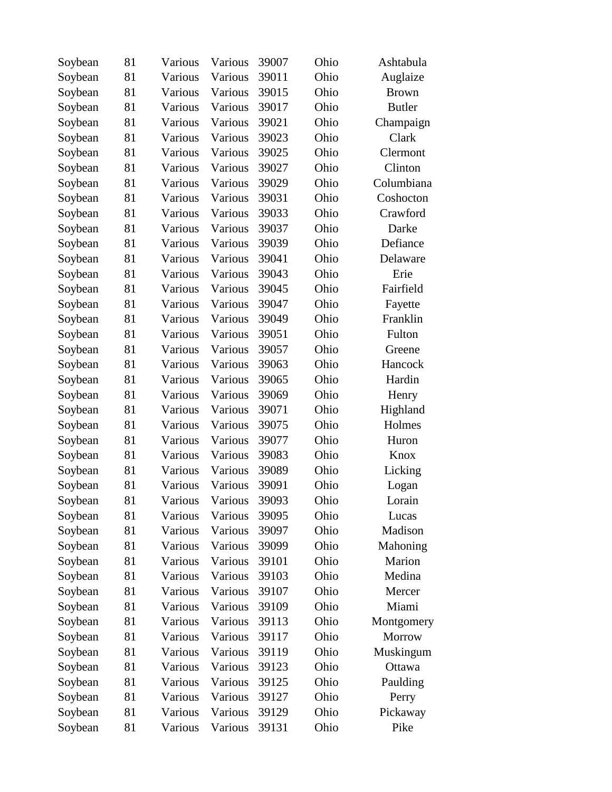| Soybean | 81 | Various | Various | 39007 | Ohio | Ashtabula     |
|---------|----|---------|---------|-------|------|---------------|
| Soybean | 81 | Various | Various | 39011 | Ohio | Auglaize      |
| Soybean | 81 | Various | Various | 39015 | Ohio | <b>Brown</b>  |
| Soybean | 81 | Various | Various | 39017 | Ohio | <b>Butler</b> |
| Soybean | 81 | Various | Various | 39021 | Ohio | Champaign     |
| Soybean | 81 | Various | Various | 39023 | Ohio | Clark         |
| Soybean | 81 | Various | Various | 39025 | Ohio | Clermont      |
| Soybean | 81 | Various | Various | 39027 | Ohio | Clinton       |
| Soybean | 81 | Various | Various | 39029 | Ohio | Columbiana    |
| Soybean | 81 | Various | Various | 39031 | Ohio | Coshocton     |
| Soybean | 81 | Various | Various | 39033 | Ohio | Crawford      |
| Soybean | 81 | Various | Various | 39037 | Ohio | Darke         |
| Soybean | 81 | Various | Various | 39039 | Ohio | Defiance      |
| Soybean | 81 | Various | Various | 39041 | Ohio | Delaware      |
| Soybean | 81 | Various | Various | 39043 | Ohio | Erie          |
| Soybean | 81 | Various | Various | 39045 | Ohio | Fairfield     |
| Soybean | 81 | Various | Various | 39047 | Ohio | Fayette       |
| Soybean | 81 | Various | Various | 39049 | Ohio | Franklin      |
| Soybean | 81 | Various | Various | 39051 | Ohio | Fulton        |
| Soybean | 81 | Various | Various | 39057 | Ohio | Greene        |
| Soybean | 81 | Various | Various | 39063 | Ohio | Hancock       |
| Soybean | 81 | Various | Various | 39065 | Ohio | Hardin        |
| Soybean | 81 | Various | Various | 39069 | Ohio | Henry         |
| Soybean | 81 | Various | Various | 39071 | Ohio | Highland      |
| Soybean | 81 | Various | Various | 39075 | Ohio | Holmes        |
| Soybean | 81 | Various | Various | 39077 | Ohio | Huron         |
| Soybean | 81 | Various | Various | 39083 | Ohio | Knox          |
| Soybean | 81 | Various | Various | 39089 | Ohio | Licking       |
| Soybean | 81 | Various | Various | 39091 | Ohio | Logan         |
| Soybean | 81 | Various | Various | 39093 | Ohio | Lorain        |
| Soybean | 81 | Various | Various | 39095 | Ohio | Lucas         |
| Soybean | 81 | Various | Various | 39097 | Ohio | Madison       |
| Soybean | 81 | Various | Various | 39099 | Ohio | Mahoning      |
| Soybean | 81 | Various | Various | 39101 | Ohio | Marion        |
| Soybean | 81 | Various | Various | 39103 | Ohio | Medina        |
| Soybean | 81 | Various | Various | 39107 | Ohio | Mercer        |
| Soybean | 81 | Various | Various | 39109 | Ohio | Miami         |
| Soybean | 81 | Various | Various | 39113 | Ohio | Montgomery    |
| Soybean | 81 | Various | Various | 39117 | Ohio | Morrow        |
| Soybean | 81 | Various | Various | 39119 | Ohio | Muskingum     |
| Soybean | 81 | Various | Various | 39123 | Ohio | Ottawa        |
| Soybean | 81 | Various | Various | 39125 | Ohio | Paulding      |
| Soybean | 81 | Various | Various | 39127 | Ohio | Perry         |
| Soybean | 81 | Various | Various | 39129 | Ohio | Pickaway      |
| Soybean | 81 | Various | Various | 39131 | Ohio | Pike          |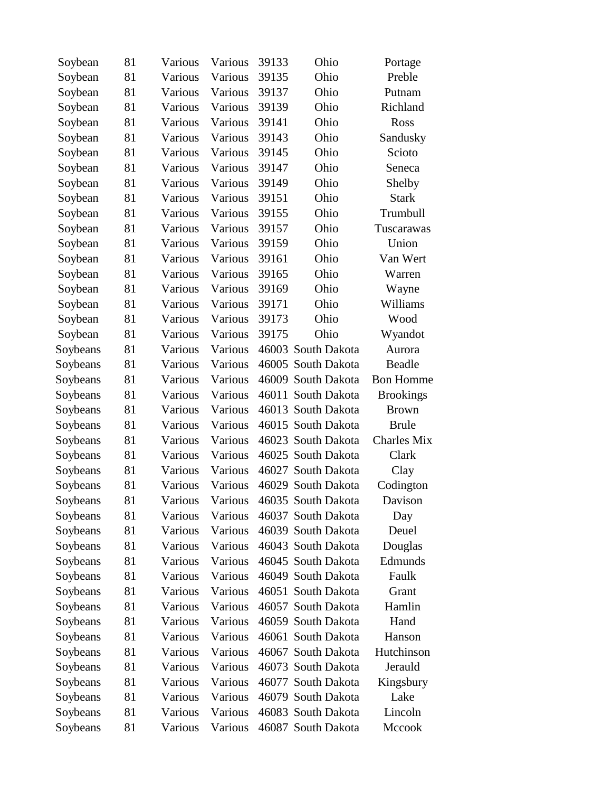| Soybean  | 81 | Various | Various | 39133 | Ohio               | Portage            |
|----------|----|---------|---------|-------|--------------------|--------------------|
| Soybean  | 81 | Various | Various | 39135 | Ohio               | Preble             |
| Soybean  | 81 | Various | Various | 39137 | Ohio               | Putnam             |
| Soybean  | 81 | Various | Various | 39139 | Ohio               | Richland           |
| Soybean  | 81 | Various | Various | 39141 | Ohio               | Ross               |
| Soybean  | 81 | Various | Various | 39143 | Ohio               | Sandusky           |
| Soybean  | 81 | Various | Various | 39145 | Ohio               | Scioto             |
| Soybean  | 81 | Various | Various | 39147 | Ohio               | Seneca             |
| Soybean  | 81 | Various | Various | 39149 | Ohio               | Shelby             |
| Soybean  | 81 | Various | Various | 39151 | Ohio               | <b>Stark</b>       |
| Soybean  | 81 | Various | Various | 39155 | Ohio               | Trumbull           |
| Soybean  | 81 | Various | Various | 39157 | Ohio               | Tuscarawas         |
| Soybean  | 81 | Various | Various | 39159 | Ohio               | Union              |
| Soybean  | 81 | Various | Various | 39161 | Ohio               | Van Wert           |
| Soybean  | 81 | Various | Various | 39165 | Ohio               | Warren             |
| Soybean  | 81 | Various | Various | 39169 | Ohio               | Wayne              |
| Soybean  | 81 | Various | Various | 39171 | Ohio               | Williams           |
| Soybean  | 81 | Various | Various | 39173 | Ohio               | Wood               |
| Soybean  | 81 | Various | Various | 39175 | Ohio               | Wyandot            |
| Soybeans | 81 | Various | Various |       | 46003 South Dakota | Aurora             |
| Soybeans | 81 | Various | Various |       | 46005 South Dakota | Beadle             |
| Soybeans | 81 | Various | Various |       | 46009 South Dakota | <b>Bon Homme</b>   |
| Soybeans | 81 | Various | Various |       | 46011 South Dakota | <b>Brookings</b>   |
| Soybeans | 81 | Various | Various |       | 46013 South Dakota | <b>Brown</b>       |
| Soybeans | 81 | Various | Various |       | 46015 South Dakota | <b>Brule</b>       |
| Soybeans | 81 | Various | Various |       | 46023 South Dakota | <b>Charles Mix</b> |
| Soybeans | 81 | Various | Various |       | 46025 South Dakota | Clark              |
| Soybeans | 81 | Various | Various |       | 46027 South Dakota | Clay               |
| Soybeans | 81 | Various | Various |       | 46029 South Dakota | Codington          |
| Soybeans | 81 | Various | Various |       | 46035 South Dakota | Davison            |
| Soybeans | 81 | Various | Various |       | 46037 South Dakota | Day                |
| Soybeans | 81 | Various | Various |       | 46039 South Dakota | Deuel              |
| Soybeans | 81 | Various | Various |       | 46043 South Dakota | Douglas            |
| Soybeans | 81 | Various | Various |       | 46045 South Dakota | Edmunds            |
| Soybeans | 81 | Various | Various |       | 46049 South Dakota | Faulk              |
| Soybeans | 81 | Various | Various |       | 46051 South Dakota | Grant              |
| Soybeans | 81 | Various | Various |       | 46057 South Dakota | Hamlin             |
| Soybeans | 81 | Various | Various |       | 46059 South Dakota | Hand               |
| Soybeans | 81 | Various | Various |       | 46061 South Dakota | Hanson             |
| Soybeans | 81 | Various | Various |       | 46067 South Dakota | Hutchinson         |
| Soybeans | 81 | Various | Various |       | 46073 South Dakota | Jerauld            |
| Soybeans | 81 | Various | Various |       | 46077 South Dakota | Kingsbury          |
| Soybeans | 81 | Various | Various |       | 46079 South Dakota | Lake               |
| Soybeans | 81 | Various | Various |       | 46083 South Dakota | Lincoln            |
| Soybeans | 81 | Various | Various |       | 46087 South Dakota | Mccook             |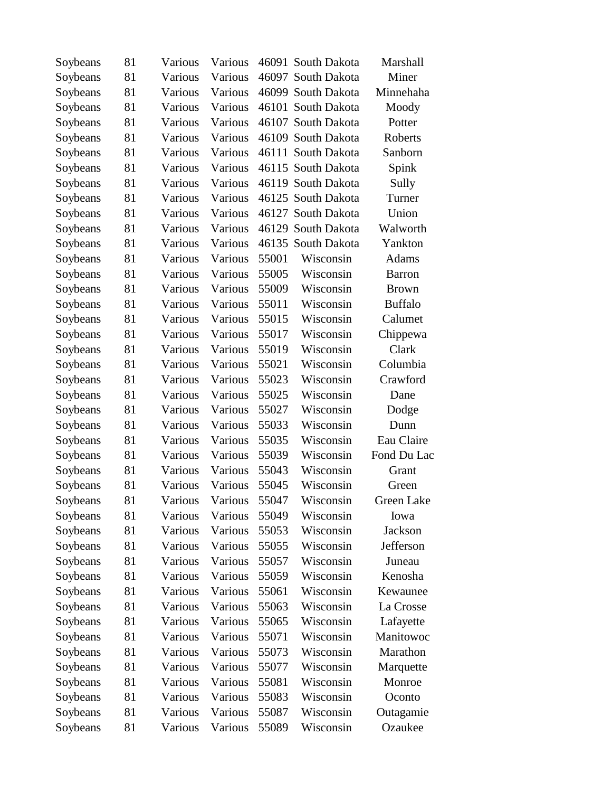| Soybeans | 81 | Various | Various |       | 46091 South Dakota | Marshall       |
|----------|----|---------|---------|-------|--------------------|----------------|
| Soybeans | 81 | Various | Various |       | 46097 South Dakota | Miner          |
| Soybeans | 81 | Various | Various |       | 46099 South Dakota | Minnehaha      |
| Soybeans | 81 | Various | Various |       | 46101 South Dakota | Moody          |
| Soybeans | 81 | Various | Various |       | 46107 South Dakota | Potter         |
| Soybeans | 81 | Various | Various |       | 46109 South Dakota | Roberts        |
| Soybeans | 81 | Various | Various |       | 46111 South Dakota | Sanborn        |
| Soybeans | 81 | Various | Various |       | 46115 South Dakota | Spink          |
| Soybeans | 81 | Various | Various |       | 46119 South Dakota | Sully          |
| Soybeans | 81 | Various | Various |       | 46125 South Dakota | Turner         |
| Soybeans | 81 | Various | Various |       | 46127 South Dakota | Union          |
| Soybeans | 81 | Various | Various |       | 46129 South Dakota | Walworth       |
| Soybeans | 81 | Various | Various |       | 46135 South Dakota | Yankton        |
| Soybeans | 81 | Various | Various | 55001 | Wisconsin          | Adams          |
| Soybeans | 81 | Various | Various | 55005 | Wisconsin          | <b>Barron</b>  |
| Soybeans | 81 | Various | Various | 55009 | Wisconsin          | <b>Brown</b>   |
| Soybeans | 81 | Various | Various | 55011 | Wisconsin          | <b>Buffalo</b> |
| Soybeans | 81 | Various | Various | 55015 | Wisconsin          | Calumet        |
| Soybeans | 81 | Various | Various | 55017 | Wisconsin          | Chippewa       |
| Soybeans | 81 | Various | Various | 55019 | Wisconsin          | Clark          |
| Soybeans | 81 | Various | Various | 55021 | Wisconsin          | Columbia       |
| Soybeans | 81 | Various | Various | 55023 | Wisconsin          | Crawford       |
| Soybeans | 81 | Various | Various | 55025 | Wisconsin          | Dane           |
| Soybeans | 81 | Various | Various | 55027 | Wisconsin          | Dodge          |
| Soybeans | 81 | Various | Various | 55033 | Wisconsin          | Dunn           |
| Soybeans | 81 | Various | Various | 55035 | Wisconsin          | Eau Claire     |
| Soybeans | 81 | Various | Various | 55039 | Wisconsin          | Fond Du Lac    |
| Soybeans | 81 | Various | Various | 55043 | Wisconsin          | Grant          |
| Soybeans | 81 | Various | Various | 55045 | Wisconsin          | Green          |
| Soybeans | 81 | Various | Various | 55047 | Wisconsin          | Green Lake     |
| Soybeans | 81 | Various | Various | 55049 | Wisconsin          | Iowa           |
| Soybeans | 81 | Various | Various | 55053 | Wisconsin          | Jackson        |
| Soybeans | 81 | Various | Various | 55055 | Wisconsin          | Jefferson      |
| Soybeans | 81 | Various | Various | 55057 | Wisconsin          | Juneau         |
| Soybeans | 81 | Various | Various | 55059 | Wisconsin          | Kenosha        |
| Soybeans | 81 | Various | Various | 55061 | Wisconsin          | Kewaunee       |
| Soybeans | 81 | Various | Various | 55063 | Wisconsin          | La Crosse      |
| Soybeans | 81 | Various | Various | 55065 | Wisconsin          | Lafayette      |
| Soybeans | 81 | Various | Various | 55071 | Wisconsin          | Manitowoc      |
| Soybeans | 81 | Various | Various | 55073 | Wisconsin          | Marathon       |
| Soybeans | 81 | Various | Various | 55077 | Wisconsin          | Marquette      |
| Soybeans | 81 | Various | Various | 55081 | Wisconsin          | Monroe         |
| Soybeans | 81 | Various | Various | 55083 | Wisconsin          | Oconto         |
| Soybeans | 81 | Various | Various | 55087 | Wisconsin          | Outagamie      |
| Soybeans | 81 | Various | Various | 55089 | Wisconsin          | Ozaukee        |